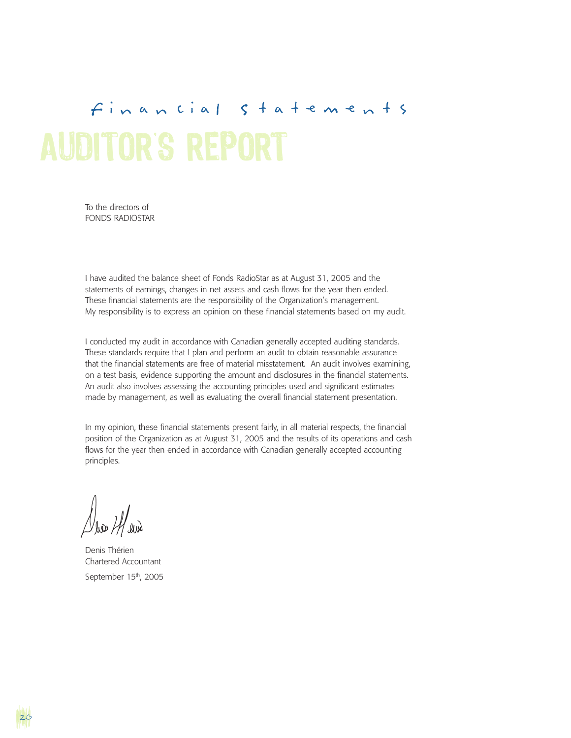# AUDITOR S REPORT Financial Statements

To the directors of FONDS RADIOSTAR

I have audited the balance sheet of Fonds RadioStar as at August 31, 2005 and the statements of earnings, changes in net assets and cash flows for the year then ended. These financial statements are the responsibility of the Organization's management. My responsibility is to express an opinion on these financial statements based on my audit.

I conducted my audit in accordance with Canadian generally accepted auditing standards. These standards require that I plan and perform an audit to obtain reasonable assurance that the financial statements are free of material misstatement. An audit involves examining, on a test basis, evidence supporting the amount and disclosures in the financial statements. An audit also involves assessing the accounting principles used and significant estimates made by management, as well as evaluating the overall financial statement presentation.

In my opinion, these financial statements present fairly, in all material respects, the financial position of the Organization as at August 31, 2005 and the results of its operations and cash flows for the year then ended in accordance with Canadian generally accepted accounting principles.

Denis Thérien Chartered Accountant September 15<sup>th</sup>, 2005

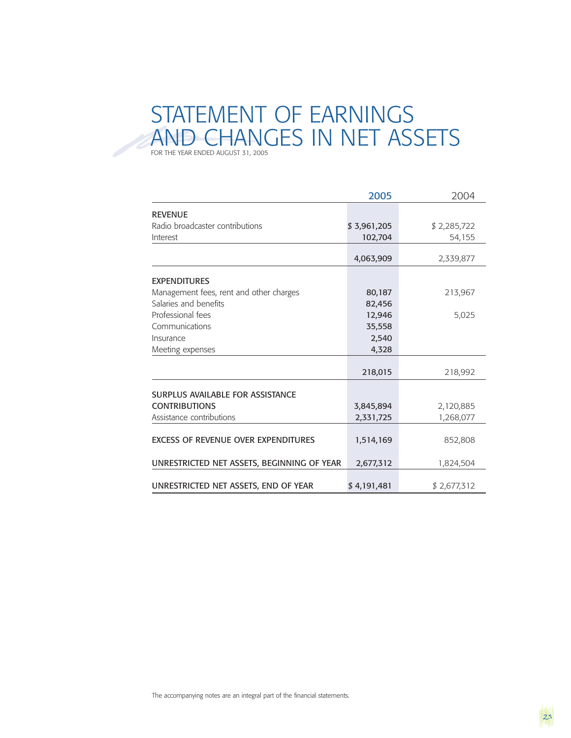## STATEMENT OF EARNINGS AND CHANGES IN NET ASSETS FOR THE YEAR ENDED AUGUST 31, 2005

|                                            | 2005        | 2004        |
|--------------------------------------------|-------------|-------------|
| <b>REVENUE</b>                             |             |             |
| Radio broadcaster contributions            | \$3,961,205 | \$2,285,722 |
| Interest                                   | 102,704     | 54,155      |
|                                            |             |             |
|                                            | 4,063,909   | 2,339,877   |
| <b>EXPENDITURES</b>                        |             |             |
| Management fees, rent and other charges    | 80,187      | 213,967     |
| Salaries and benefits                      | 82,456      |             |
| Professional fees                          | 12,946      | 5,025       |
| Communications                             | 35,558      |             |
| Insurance                                  | 2,540       |             |
| Meeting expenses                           | 4,328       |             |
|                                            |             |             |
|                                            | 218,015     | 218,992     |
| SURPLUS AVAILABLE FOR ASSISTANCE           |             |             |
| <b>CONTRIBUTIONS</b>                       | 3,845,894   | 2,120,885   |
| Assistance contributions                   | 2,331,725   | 1,268,077   |
|                                            |             |             |
| <b>EXCESS OF REVENUE OVER EXPENDITURES</b> | 1,514,169   | 852,808     |
|                                            |             |             |
| UNRESTRICTED NET ASSETS, BEGINNING OF YEAR | 2,677,312   | 1,824,504   |
|                                            |             |             |
| UNRESTRICTED NET ASSETS, END OF YEAR       | \$4,191,481 | \$2,677,312 |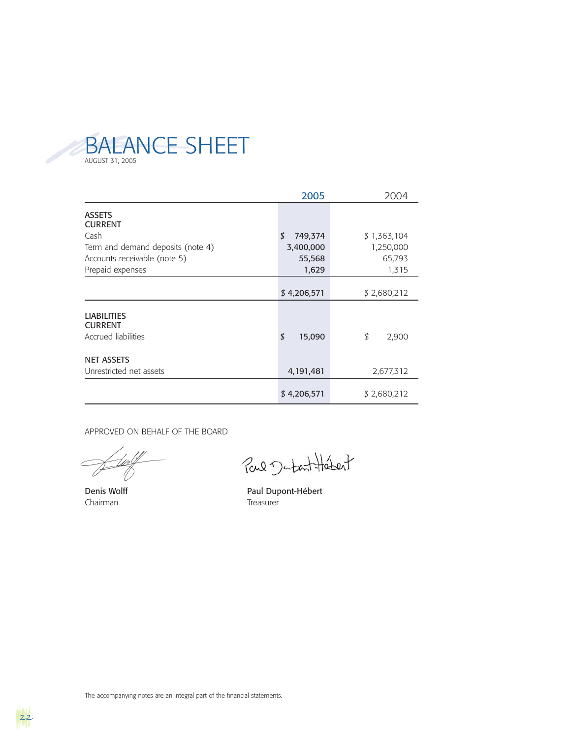

|                                                             | 2005          | 2004        |
|-------------------------------------------------------------|---------------|-------------|
| <b>ASSETS</b><br><b>CURRENT</b>                             |               |             |
| Cash                                                        | \$<br>749,374 | \$1,363,104 |
| Term and demand deposits (note 4)                           | 3,400,000     | 1,250,000   |
| Accounts receivable (note 5)                                | 55,568        | 65,793      |
| Prepaid expenses                                            | 1,629         | 1,315       |
|                                                             | \$4,206,571   | \$2,680,212 |
| <b>LIABILITIES</b><br><b>CURRENT</b><br>Accrued liabilities | \$<br>15,090  | \$<br>2,900 |
| <b>NET ASSETS</b><br>Unrestricted net assets                | 4,191,481     | 2,677,312   |
|                                                             | \$4,206,571   | \$2,680,212 |

APPROVED ON BEHALF OF THE BOARD

Chairman Treasurer

Paul Dutant Hetert

Denis Wolff **Paul Dupont-Hébert** 

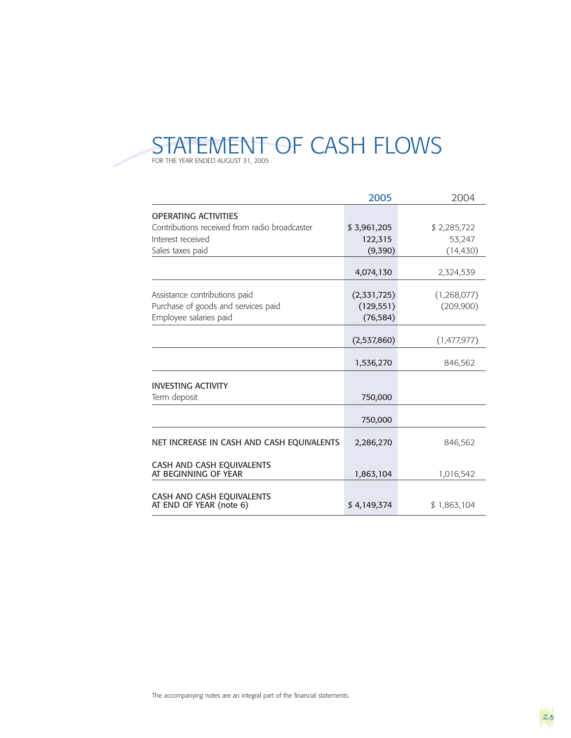

|                                                      | 2005        | 2004        |
|------------------------------------------------------|-------------|-------------|
| <b>OPERATING ACTIVITIES</b>                          |             |             |
| Contributions received from radio broadcaster        | \$3,961,205 | \$2,285,722 |
| Interest received                                    | 122,315     | 53,247      |
| Sales taxes paid                                     | (9,390)     | (14, 430)   |
|                                                      | 4,074,130   | 2,324,539   |
|                                                      |             |             |
| Assistance contributions paid                        | (2,331,725) | (1,268,077) |
| Purchase of goods and services paid                  | (129, 551)  | (209,900)   |
| Employee salaries paid                               | (76, 584)   |             |
|                                                      |             |             |
|                                                      | (2,537,860) | (1,477,977) |
|                                                      | 1,536,270   | 846,562     |
| <b>INVESTING ACTIVITY</b>                            |             |             |
| Term deposit                                         | 750,000     |             |
|                                                      | 750,000     |             |
| NET INCREASE IN CASH AND CASH EQUIVALENTS            | 2,286,270   | 846,562     |
|                                                      |             |             |
| CASH AND CASH EQUIVALENTS<br>AT BEGINNING OF YEAR    | 1,863,104   | 1,016,542   |
|                                                      |             |             |
| CASH AND CASH EQUIVALENTS<br>AT END OF YEAR (note 6) | \$4,149,374 | \$1,863,104 |



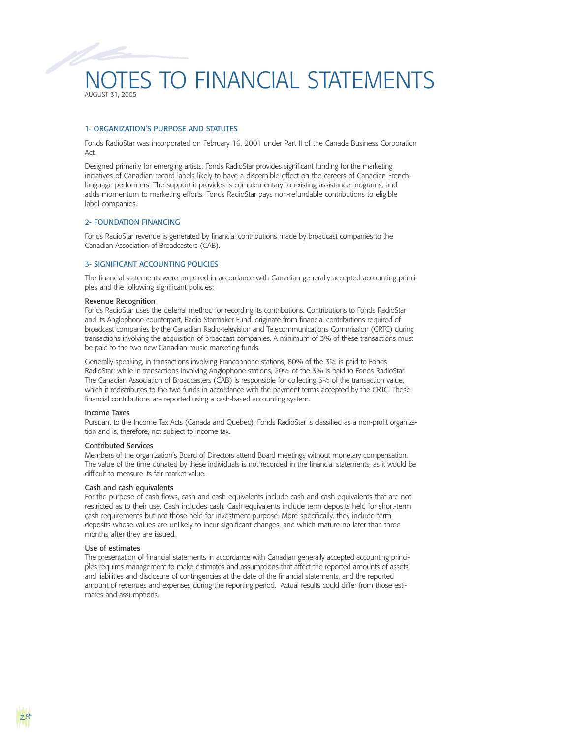### NOTES TO FINANCIAL STATEMENTS AUGUST 31, 2005

#### 1- ORGANIZATION'S PURPOSE AND STATUTES

Fonds RadioStar was incorporated on February 16, 2001 under Part II of the Canada Business Corporation Act.

Designed primarily for emerging artists, Fonds RadioStar provides significant funding for the marketing initiatives of Canadian record labels likely to have a discernible effect on the careers of Canadian Frenchlanguage performers. The support it provides is complementary to existing assistance programs, and adds momentum to marketing efforts. Fonds RadioStar pays non-refundable contributions to eligible label companies.

#### 2- FOUNDATION FINANCING

Fonds RadioStar revenue is generated by financial contributions made by broadcast companies to the Canadian Association of Broadcasters (CAB).

#### 3- SIGNIFICANT ACCOUNTING POLICIES

The financial statements were prepared in accordance with Canadian generally accepted accounting principles and the following significant policies:

#### Revenue Recognition

Fonds RadioStar uses the deferral method for recording its contributions. Contributions to Fonds RadioStar and its Anglophone counterpart, Radio Starmaker Fund, originate from financial contributions required of broadcast companies by the Canadian Radio-television and Telecommunications Commission (CRTC) during transactions involving the acquisition of broadcast companies. A minimum of 3% of these transactions must be paid to the two new Canadian music marketing funds.

Generally speaking, in transactions involving Francophone stations, 80% of the 3% is paid to Fonds RadioStar; while in transactions involving Anglophone stations, 20% of the 3% is paid to Fonds RadioStar. The Canadian Association of Broadcasters (CAB) is responsible for collecting 3% of the transaction value, which it redistributes to the two funds in accordance with the payment terms accepted by the CRTC. These financial contributions are reported using a cash-based accounting system.

#### Income Taxes

Pursuant to the Income Tax Acts (Canada and Quebec), Fonds RadioStar is classified as a non-profit organization and is, therefore, not subject to income tax.

#### Contributed Services

Members of the organization's Board of Directors attend Board meetings without monetary compensation. The value of the time donated by these individuals is not recorded in the financial statements, as it would be difficult to measure its fair market value.

#### Cash and cash equivalents

For the purpose of cash flows, cash and cash equivalents include cash and cash equivalents that are not restricted as to their use. Cash includes cash. Cash equivalents include term deposits held for short-term cash requirements but not those held for investment purpose. More specifically, they include term deposits whose values are unlikely to incur significant changes, and which mature no later than three months after they are issued.

#### Use of estimates

24

The presentation of financial statements in accordance with Canadian generally accepted accounting principles requires management to make estimates and assumptions that affect the reported amounts of assets and liabilities and disclosure of contingencies at the date of the financial statements, and the reported amount of revenues and expenses during the reporting period. Actual results could differ from those estimates and assumptions.